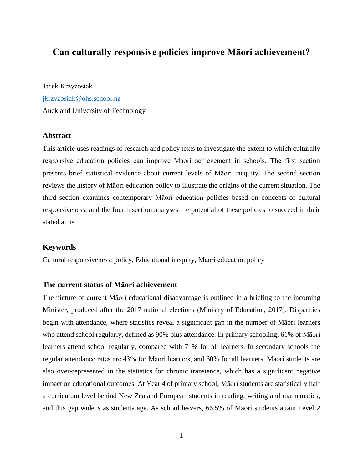# **Can culturally responsive policies improve Māori achievement?**

Jacek Krzyzosiak [jkrzyzosiak@ohs.school.nz](mailto:jkrzyzosiak@ohs.school.nz) Auckland University of Technology

# **Abstract**

This article uses readings of research and policy texts to investigate the extent to which culturally responsive education policies can improve Māori achievement in schools. The first section presents brief statistical evidence about current levels of Māori inequity. The second section reviews the history of Māori education policy to illustrate the origins of the current situation. The third section examines contemporary Māori education policies based on concepts of cultural responsiveness, and the fourth section analyses the potential of these policies to succeed in their stated aims.

# **Keywords**

Cultural responsiveness; policy, Educational inequity, Māori education policy

## **The current status of Māori achievement**

The picture of current Māori educational disadvantage is outlined in a briefing to the incoming Minister, produced after the 2017 national elections (Ministry of Education, 2017). Disparities begin with attendance, where statistics reveal a significant gap in the number of Māori learners who attend school regularly, defined as 90% plus attendance. In primary schooling, 61% of Māori learners attend school regularly, compared with 71% for all learners. In secondary schools the regular attendance rates are 43% for Māori learners, and 60% for all learners. Māori students are also over-represented in the statistics for chronic transience, which has a significant negative impact on educational outcomes. At Year 4 of primary school, Māori students are statistically half a curriculum level behind New Zealand European students in reading, writing and mathematics, and this gap widens as students age. As school leavers, 66.5% of Māori students attain Level 2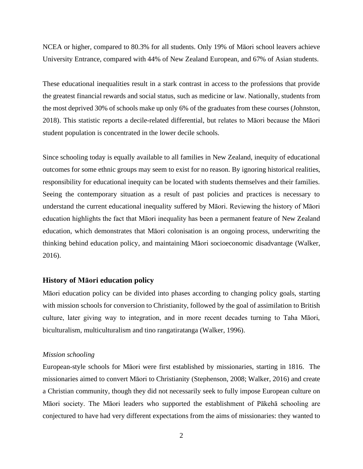NCEA or higher, compared to 80.3% for all students. Only 19% of Māori school leavers achieve University Entrance, compared with 44% of New Zealand European, and 67% of Asian students.

These educational inequalities result in a stark contrast in access to the professions that provide the greatest financial rewards and social status, such as medicine or law. Nationally, students from the most deprived 30% of schools make up only 6% of the graduates from these courses (Johnston, 2018). This statistic reports a decile-related differential, but relates to Māori because the Māori student population is concentrated in the lower decile schools.

Since schooling today is equally available to all families in New Zealand, inequity of educational outcomes for some ethnic groups may seem to exist for no reason. By ignoring historical realities, responsibility for educational inequity can be located with students themselves and their families. Seeing the contemporary situation as a result of past policies and practices is necessary to understand the current educational inequality suffered by Māori. Reviewing the history of Māori education highlights the fact that Māori inequality has been a permanent feature of New Zealand education, which demonstrates that Māori colonisation is an ongoing process, underwriting the thinking behind education policy, and maintaining Māori socioeconomic disadvantage (Walker, 2016).

#### **History of Māori education policy**

Māori education policy can be divided into phases according to changing policy goals, starting with mission schools for conversion to Christianity, followed by the goal of assimilation to British culture, later giving way to integration, and in more recent decades turning to Taha Māori, biculturalism, multiculturalism and tino rangatiratanga (Walker, 1996).

#### *Mission schooling*

European-style schools for Māori were first established by missionaries, starting in 1816. The missionaries aimed to convert Māori to Christianity (Stephenson, 2008; Walker, 2016) and create a Christian community, though they did not necessarily seek to fully impose European culture on Māori society. The Māori leaders who supported the establishment of Pākehā schooling are conjectured to have had very different expectations from the aims of missionaries: they wanted to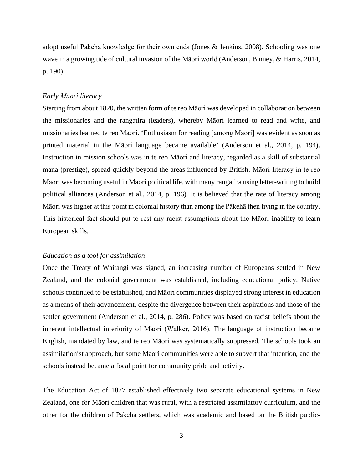adopt useful Pākehā knowledge for their own ends (Jones & Jenkins, 2008). Schooling was one wave in a growing tide of cultural invasion of the Māori world (Anderson, Binney, & Harris, 2014, p. 190).

#### *Early Māori literacy*

Starting from about 1820, the written form of te reo Māori was developed in collaboration between the missionaries and the rangatira (leaders), whereby Māori learned to read and write, and missionaries learned te reo Māori. 'Enthusiasm for reading [among Māori] was evident as soon as printed material in the Māori language became available' (Anderson et al., 2014, p. 194). Instruction in mission schools was in te reo Māori and literacy, regarded as a skill of substantial mana (prestige), spread quickly beyond the areas influenced by British. Māori literacy in te reo Māori was becoming useful in Māori political life, with many rangatira using letter-writing to build political alliances (Anderson et al., 2014, p. 196). It is believed that the rate of literacy among Māori was higher at this point in colonial history than among the Pākehā then living in the country. This historical fact should put to rest any racist assumptions about the Māori inability to learn European skills.

# *Education as a tool for assimilation*

Once the Treaty of Waitangi was signed, an increasing number of Europeans settled in New Zealand, and the colonial government was established, including educational policy. Native schools continued to be established, and Māori communities displayed strong interest in education as a means of their advancement, despite the divergence between their aspirations and those of the settler government (Anderson et al., 2014, p. 286). Policy was based on racist beliefs about the inherent intellectual inferiority of Māori (Walker, 2016). The language of instruction became English, mandated by law, and te reo Māori was systematically suppressed. The schools took an assimilationist approach, but some Maori communities were able to subvert that intention, and the schools instead became a focal point for community pride and activity.

The Education Act of 1877 established effectively two separate educational systems in New Zealand, one for Māori children that was rural, with a restricted assimilatory curriculum, and the other for the children of Pākehā settlers, which was academic and based on the British public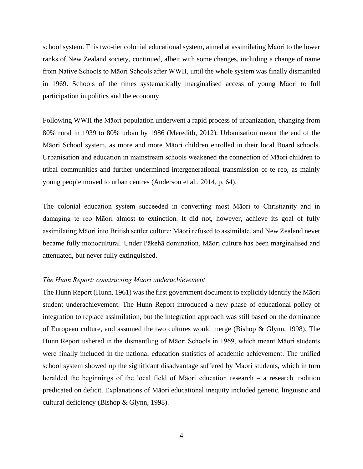school system. This two-tier colonial educational system, aimed at assimilating Māori to the lower ranks of New Zealand society, continued, albeit with some changes, including a change of name from Native Schools to Māori Schools after WWII, until the whole system was finally dismantled in 1969. Schools of the times systematically marginalised access of young Māori to full participation in politics and the economy.

Following WWII the Māori population underwent a rapid process of urbanization, changing from 80% rural in 1939 to 80% urban by 1986 (Meredith, 2012). Urbanisation meant the end of the Māori School system, as more and more Māori children enrolled in their local Board schools. Urbanisation and education in mainstream schools weakened the connection of Māori children to tribal communities and further undermined intergenerational transmission of te reo, as mainly young people moved to urban centres (Anderson et al., 2014, p. 64).

The colonial education system succeeded in converting most Māori to Christianity and in damaging te reo Māori almost to extinction. It did not, however, achieve its goal of fully assimilating Māori into British settler culture: Māori refused to assimilate, and New Zealand never became fully monocultural. Under Pākehā domination, Māori culture has been marginalised and attenuated, but never fully extinguished.

#### *The Hunn Report: constructing Māori underachievement*

The Hunn Report (Hunn, 1961) was the first government document to explicitly identify the Māori student underachievement. The Hunn Report introduced a new phase of educational policy of integration to replace assimilation, but the integration approach was still based on the dominance of European culture, and assumed the two cultures would merge (Bishop & Glynn, 1998). The Hunn Report ushered in the dismantling of Māori Schools in 1969, which meant Māori students were finally included in the national education statistics of academic achievement. The unified school system showed up the significant disadvantage suffered by Māori students, which in turn heralded the beginnings of the local field of Māori education research – a research tradition predicated on deficit. Explanations of Māori educational inequity included genetic, linguistic and cultural deficiency (Bishop & Glynn, 1998).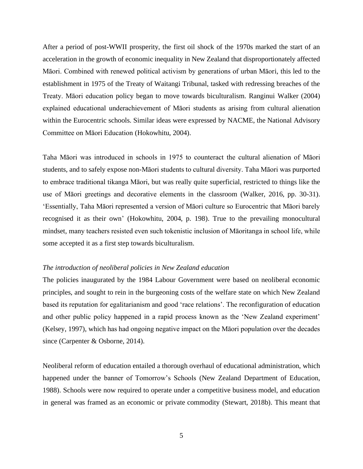After a period of post-WWII prosperity, the first oil shock of the 1970s marked the start of an acceleration in the growth of economic inequality in New Zealand that disproportionately affected Māori. Combined with renewed political activism by generations of urban Māori, this led to the establishment in 1975 of the Treaty of Waitangi Tribunal, tasked with redressing breaches of the Treaty. Māori education policy began to move towards biculturalism. Ranginui Walker (2004) explained educational underachievement of Māori students as arising from cultural alienation within the Eurocentric schools. Similar ideas were expressed by NACME, the National Advisory Committee on Māori Education (Hokowhitu, 2004).

Taha Māori was introduced in schools in 1975 to counteract the cultural alienation of Māori students, and to safely expose non-Māori students to cultural diversity. Taha Māori was purported to embrace traditional tikanga Māori, but was really quite superficial, restricted to things like the use of Māori greetings and decorative elements in the classroom (Walker, 2016, pp. 30-31). 'Essentially, Taha Māori represented a version of Māori culture so Eurocentric that Māori barely recognised it as their own' (Hokowhitu, 2004, p. 198). True to the prevailing monocultural mindset, many teachers resisted even such tokenistic inclusion of Māoritanga in school life, while some accepted it as a first step towards biculturalism.

#### *The introduction of neoliberal policies in New Zealand education*

The policies inaugurated by the 1984 Labour Government were based on neoliberal economic principles, and sought to rein in the burgeoning costs of the welfare state on which New Zealand based its reputation for egalitarianism and good 'race relations'. The reconfiguration of education and other public policy happened in a rapid process known as the 'New Zealand experiment' (Kelsey, 1997), which has had ongoing negative impact on the Māori population over the decades since (Carpenter & Osborne, 2014).

Neoliberal reform of education entailed a thorough overhaul of educational administration, which happened under the banner of Tomorrow's Schools (New Zealand Department of Education, 1988). Schools were now required to operate under a competitive business model, and education in general was framed as an economic or private commodity (Stewart, 2018b). This meant that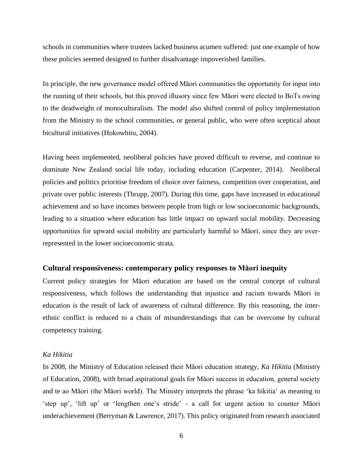schools in communities where trustees lacked business acumen suffered: just one example of how these policies seemed designed to further disadvantage impoverished families.

In principle, the new governance model offered Māori communities the opportunity for input into the running of their schools, but this proved illusory since few Māori were elected to BoTs owing to the deadweight of monoculturalism. The model also shifted control of policy implementation from the Ministry to the school communities, or general public, who were often sceptical about bicultural initiatives (Hokowhitu, 2004).

Having been implemented, neoliberal policies have proved difficult to reverse, and continue to dominate New Zealand social life today, including education (Carpenter, 2014). Neoliberal policies and politics prioritise freedom of choice over fairness, competition over cooperation, and private over public interests (Thrupp, 2007). During this time, gaps have increased in educational achievement and so have incomes between people from high or low socioeconomic backgrounds, leading to a situation where education has little impact on upward social mobility. Decreasing opportunities for upward social mobility are particularly harmful to Māori, since they are overrepresented in the lower socioeconomic strata.

### **Cultural responsiveness: contemporary policy responses to Māori inequity**

Current policy strategies for Māori education are based on the central concept of cultural responsiveness, which follows the understanding that injustice and racism towards Māori in education is the result of lack of awareness of cultural difference. By this reasoning, the interethnic conflict is reduced to a chain of misunderstandings that can be overcome by cultural competency training.

#### *Ka Hikitia*

In 2008, the Ministry of Education released their Māori education strategy, *Ka Hikitia* (Ministry of Education, 2008), with broad aspirational goals for Māori success in education, general society and te ao Māori (the Māori world). The Ministry interprets the phrase 'ka hikitia' as meaning to 'step up', 'lift up' or 'lengthen one's stride' - a call for urgent action to counter Māori underachievement (Berryman & Lawrence, 2017). This policy originated from research associated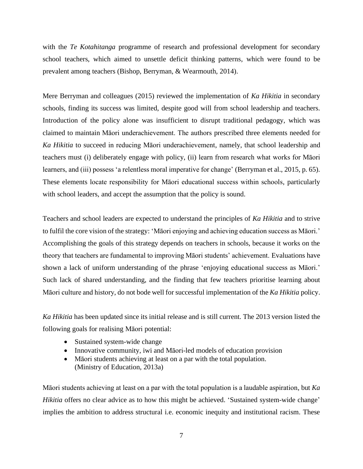with the *Te Kotahitanga* programme of research and professional development for secondary school teachers, which aimed to unsettle deficit thinking patterns, which were found to be prevalent among teachers (Bishop, Berryman, & Wearmouth, 2014).

Mere Berryman and colleagues (2015) reviewed the implementation of *Ka Hikitia* in secondary schools, finding its success was limited, despite good will from school leadership and teachers. Introduction of the policy alone was insufficient to disrupt traditional pedagogy, which was claimed to maintain Māori underachievement. The authors prescribed three elements needed for *Ka Hikitia* to succeed in reducing Māori underachievement, namely, that school leadership and teachers must (i) deliberately engage with policy, (ii) learn from research what works for Māori learners, and (iii) possess 'a relentless moral imperative for change' (Berryman et al., 2015, p. 65). These elements locate responsibility for Māori educational success within schools, particularly with school leaders, and accept the assumption that the policy is sound.

Teachers and school leaders are expected to understand the principles of *Ka Hikitia* and to strive to fulfil the core vision of the strategy: 'Māori enjoying and achieving education success as Māori.' Accomplishing the goals of this strategy depends on teachers in schools, because it works on the theory that teachers are fundamental to improving Māori students' achievement. Evaluations have shown a lack of uniform understanding of the phrase 'enjoying educational success as Māori.' Such lack of shared understanding, and the finding that few teachers prioritise learning about Māori culture and history, do not bode well for successful implementation of the *Ka Hikitia* policy.

*Ka Hikitia* has been updated since its initial release and is still current. The 2013 version listed the following goals for realising Māori potential:

- Sustained system-wide change
- Innovative community, iwi and Māori-led models of education provision
- Māori students achieving at least on a par with the total population. (Ministry of Education, 2013a)

Māori students achieving at least on a par with the total population is a laudable aspiration, but *Ka Hikitia* offers no clear advice as to how this might be achieved. 'Sustained system-wide change' implies the ambition to address structural i.e. economic inequity and institutional racism. These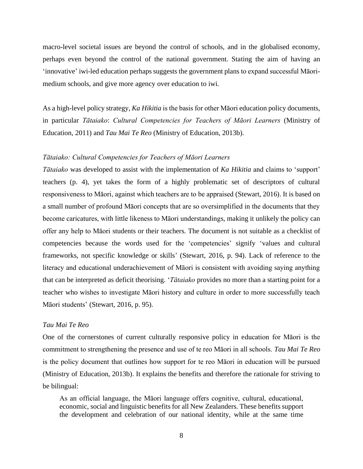macro-level societal issues are beyond the control of schools, and in the globalised economy, perhaps even beyond the control of the national government. Stating the aim of having an 'innovative' iwi-led education perhaps suggests the government plans to expand successful Māorimedium schools, and give more agency over education to iwi.

As a high-level policy strategy, *Ka Hikitia* is the basis for other Māori education policy documents, in particular *Tātaiako*: *Cultural Competencies for Teachers of Māori Learners* (Ministry of Education, 2011) and *Tau Mai Te Reo* (Ministry of Education, 2013b).

## *Tātaiako: Cultural Competencies for Teachers of Māori Learners*

*Tātaiako* was developed to assist with the implementation of *Ka Hikitia* and claims to 'support' teachers (p. 4), yet takes the form of a highly problematic set of descriptors of cultural responsiveness to Māori, against which teachers are to be appraised (Stewart, 2016). It is based on a small number of profound Māori concepts that are so oversimplified in the documents that they become caricatures, with little likeness to Māori understandings, making it unlikely the policy can offer any help to Māori students or their teachers. The document is not suitable as a checklist of competencies because the words used for the 'competencies' signify 'values and cultural frameworks, not specific knowledge or skills' (Stewart, 2016, p. 94). Lack of reference to the literacy and educational underachievement of Māori is consistent with avoiding saying anything that can be interpreted as deficit theorising. '*Tātaiako* provides no more than a starting point for a teacher who wishes to investigate Māori history and culture in order to more successfully teach Māori students' (Stewart, 2016, p. 95).

#### *Tau Mai Te Reo*

One of the cornerstones of current culturally responsive policy in education for Māori is the commitment to strengthening the presence and use of te reo Māori in all schools. *Tau Mai Te Reo* is the policy document that outlines how support for te reo Māori in education will be pursued (Ministry of Education, 2013b). It explains the benefits and therefore the rationale for striving to be bilingual:

As an official language, the Māori language offers cognitive, cultural, educational, economic, social and linguistic benefits for all New Zealanders. These benefits support the development and celebration of our national identity, while at the same time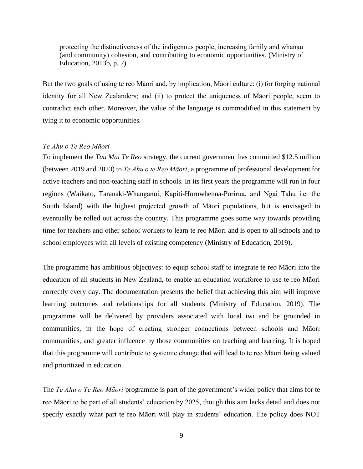protecting the distinctiveness of the indigenous people, increasing family and whānau (and community) cohesion, and contributing to economic opportunities. (Ministry of Education, 2013b, p. 7)

But the two goals of using te reo Māori and, by implication, Māori culture: (i) for forging national identity for all New Zealanders; and (ii) to protect the uniqueness of Māori people, seem to contradict each other. Moreover, the value of the language is commodified in this statement by tying it to economic opportunities.

## *Te Ahu o Te Reo Māori*

To implement the *Tau Mai Te Reo* strategy, the current government has committed \$12.5 million (between 2019 and 2023) to *Te Ahu o te Reo Māori*, a programme of professional development for active teachers and non-teaching staff in schools. In its first years the programme will run in four regions (Waikato, Taranaki-Whānganui, Kapiti-Horowhenua-Porirua, and Ngāi Tahu i.e. the South Island) with the highest projected growth of Māori populations, but is envisaged to eventually be rolled out across the country. This programme goes some way towards providing time for teachers and other school workers to learn te reo Māori and is open to all schools and to school employees with all levels of existing competency (Ministry of Education, 2019).

The programme has ambitious objectives: to equip school staff to integrate te reo Māori into the education of all students in New Zealand, to enable an education workforce to use te reo Māori correctly every day. The documentation presents the belief that achieving this aim will improve learning outcomes and relationships for all students (Ministry of Education, 2019). The programme will be delivered by providers associated with local iwi and be grounded in communities, in the hope of creating stronger connections between schools and Māori communities, and greater influence by those communities on teaching and learning. It is hoped that this programme will contribute to systemic change that will lead to te reo Māori being valued and prioritized in education.

The *Te Ahu o Te Reo Māori* programme is part of the government's wider policy that aims for te reo Māori to be part of all students' education by 2025, though this aim lacks detail and does not specify exactly what part te reo Māori will play in students' education. The policy does NOT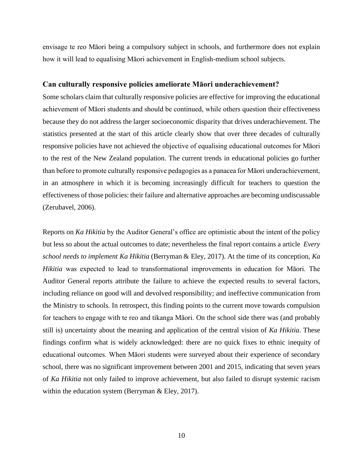envisage te reo Māori being a compulsory subject in schools, and furthermore does not explain how it will lead to equalising Māori achievement in English-medium school subjects.

## **Can culturally responsive policies ameliorate Māori underachievement?**

Some scholars claim that culturally responsive policies are effective for improving the educational achievement of Māori students and should be continued, while others question their effectiveness because they do not address the larger socioeconomic disparity that drives underachievement. The statistics presented at the start of this article clearly show that over three decades of culturally responsive policies have not achieved the objective of equalising educational outcomes for Māori to the rest of the New Zealand population. The current trends in educational policies go further than before to promote culturally responsive pedagogies as a panacea for Māori underachievement, in an atmosphere in which it is becoming increasingly difficult for teachers to question the effectiveness of those policies: their failure and alternative approaches are becoming undiscussable (Zerubavel, 2006).

Reports on *Ka Hikitia* by the Auditor General's office are optimistic about the intent of the policy but less so about the actual outcomes to date; nevertheless the final report contains a article *Every school needs to implement Ka Hikitia* (Berryman & Eley, 2017). At the time of its conception, *Ka Hikitia* was expected to lead to transformational improvements in education for Māori. The Auditor General reports attribute the failure to achieve the expected results to several factors, including reliance on good will and devolved responsibility; and ineffective communication from the Ministry to schools. In retrospect, this finding points to the current move towards compulsion for teachers to engage with te reo and tikanga Māori. On the school side there was (and probably still is) uncertainty about the meaning and application of the central vision of *Ka Hikitia*. These findings confirm what is widely acknowledged: there are no quick fixes to ethnic inequity of educational outcomes. When Māori students were surveyed about their experience of secondary school, there was no significant improvement between 2001 and 2015, indicating that seven years of *Ka Hikitia* not only failed to improve achievement, but also failed to disrupt systemic racism within the education system (Berryman & Eley, 2017).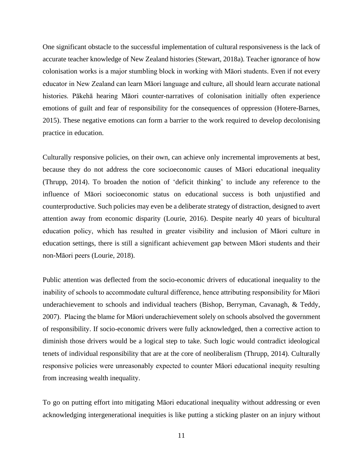One significant obstacle to the successful implementation of cultural responsiveness is the lack of accurate teacher knowledge of New Zealand histories (Stewart, 2018a). Teacher ignorance of how colonisation works is a major stumbling block in working with Māori students. Even if not every educator in New Zealand can learn Māori language and culture, all should learn accurate national histories. Pākehā hearing Māori counter-narratives of colonisation initially often experience emotions of guilt and fear of responsibility for the consequences of oppression (Hotere-Barnes, 2015). These negative emotions can form a barrier to the work required to develop decolonising practice in education.

Culturally responsive policies, on their own, can achieve only incremental improvements at best, because they do not address the core socioeconomic causes of Māori educational inequality (Thrupp, 2014). To broaden the notion of 'deficit thinking' to include any reference to the influence of Māori socioeconomic status on educational success is both unjustified and counterproductive. Such policies may even be a deliberate strategy of distraction, designed to avert attention away from economic disparity (Lourie, 2016). Despite nearly 40 years of bicultural education policy, which has resulted in greater visibility and inclusion of Māori culture in education settings, there is still a significant achievement gap between Māori students and their non-Māori peers (Lourie, 2018).

Public attention was deflected from the socio-economic drivers of educational inequality to the inability of schools to accommodate cultural difference, hence attributing responsibility for Māori underachievement to schools and individual teachers (Bishop, Berryman, Cavanagh, & Teddy, 2007). Placing the blame for Māori underachievement solely on schools absolved the government of responsibility. If socio-economic drivers were fully acknowledged, then a corrective action to diminish those drivers would be a logical step to take. Such logic would contradict ideological tenets of individual responsibility that are at the core of neoliberalism (Thrupp, 2014). Culturally responsive policies were unreasonably expected to counter Māori educational inequity resulting from increasing wealth inequality.

To go on putting effort into mitigating Māori educational inequality without addressing or even acknowledging intergenerational inequities is like putting a sticking plaster on an injury without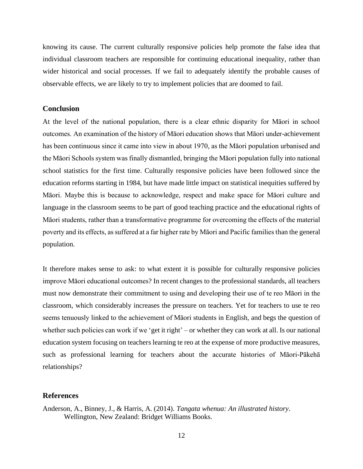knowing its cause. The current culturally responsive policies help promote the false idea that individual classroom teachers are responsible for continuing educational inequality, rather than wider historical and social processes. If we fail to adequately identify the probable causes of observable effects, we are likely to try to implement policies that are doomed to fail.

# **Conclusion**

At the level of the national population, there is a clear ethnic disparity for Māori in school outcomes. An examination of the history of Māori education shows that Māori under-achievement has been continuous since it came into view in about 1970, as the Māori population urbanised and the Māori Schools system was finally dismantled, bringing the Māori population fully into national school statistics for the first time. Culturally responsive policies have been followed since the education reforms starting in 1984, but have made little impact on statistical inequities suffered by Māori. Maybe this is because to acknowledge, respect and make space for Māori culture and language in the classroom seems to be part of good teaching practice and the educational rights of Māori students, rather than a transformative programme for overcoming the effects of the material poverty and its effects, as suffered at a far higher rate by Māori and Pacific families than the general population.

It therefore makes sense to ask: to what extent it is possible for culturally responsive policies improve Māori educational outcomes? In recent changes to the professional standards, all teachers must now demonstrate their commitment to using and developing their use of te reo Māori in the classroom, which considerably increases the pressure on teachers. Yet for teachers to use te reo seems tenuously linked to the achievement of Māori students in English, and begs the question of whether such policies can work if we 'get it right' – or whether they can work at all. Is our national education system focusing on teachers learning te reo at the expense of more productive measures, such as professional learning for teachers about the accurate histories of Māori-Pākehā relationships?

## **References**

Anderson, A., Binney, J., & Harris, A. (2014). *Tangata whenua: An illustrated history*. Wellington, New Zealand: Bridget Williams Books.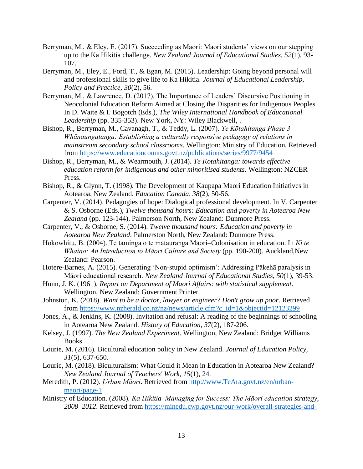- Berryman, M., & Eley, E. (2017). Succeeding as Māori: Māori students' views on our stepping up to the Ka Hikitia challenge. *New Zealand Journal of Educational Studies, 52*(1), 93- 107.
- Berryman, M., Eley, E., Ford, T., & Egan, M. (2015). Leadership: Going beyond personal will and professional skills to give life to Ka Hikitia. *Journal of Educational Leadership, Policy and Practice, 30*(2), 56.
- Berryman, M., & Lawrence, D. (2017). The Importance of Leaders' Discursive Positioning in Neocolonial Education Reform Aimed at Closing the Disparities for Indigenous Peoples. In D. Waite & I. Bogotch (Eds.), *The Wiley International Handbook of Educational Leadership* (pp. 335-353). New York, NY: Wiley Blackwell, .
- Bishop, R., Berryman, M., Cavanagh, T., & Teddy, L. (2007). *Te Kōtahitanga Phase 3 Whānaungatanga: Establishing a culturally responsive pedagogy of relations in mainstream secondary school classrooms*. Wellington: Ministry of Education. Retrieved from<https://www.educationcounts.govt.nz/publications/series/9977/9454>
- Bishop, R., Berryman, M., & Wearmouth, J. (2014). *Te Kotahitanga: towards effective education reform for indigenous and other minoritised students*. Wellington: NZCER Press.
- Bishop, R., & Glynn, T. (1998). The Development of Kaupapa Maori Education Initiatives in Aotearoa, New Zealand. *Education Canada, 38*(2), 50-56.
- Carpenter, V. (2014). Pedagogies of hope: Dialogical professional development. In V. Carpenter & S. Osborne (Eds.), *Twelve thousand hours: Education and poverty in Aotearoa New Zealand* (pp. 123-144). Palmerson North, New Zealand: Dunmore Press.
- Carpenter, V., & Osborne, S. (2014). *Twelve thousand hours: Education and poverty in Aotearoa New Zealand*. Palmerston North, New Zealand: Dunmore Press.
- Hokowhitu, B. (2004). Te tāminga o te mātauranga Māori–Colonisation in education. In *Ki te Whaiao: An Introduction to Māori Culture and Society* (pp. 190-200). Auckland,New Zealand: Pearson.
- Hotere-Barnes, A. (2015). Generating 'Non-stupid optimism': Addressing Pākehā paralysis in Māori educational research. *New Zealand Journal of Educational Studies, 50*(1), 39-53.
- Hunn, J. K. (1961). *Report on Department of Maori Affairs: with statistical supplement*. Wellington, New Zealand: Government Printer.
- Johnston, K. (2018). *Want to be a doctor, lawyer or engineer? Don't grow up poor*. Retrieved from [https://www.nzherald.co.nz/nz/news/article.cfm?c\\_id=1&objectid=12123299](https://www.nzherald.co.nz/nz/news/article.cfm?c_id=1&objectid=12123299)
- Jones, A., & Jenkins, K. (2008). Invitation and refusal: A reading of the beginnings of schooling in Aotearoa New Zealand. *History of Education, 37*(2), 187-206.
- Kelsey, J. (1997). *The New Zealand Experiment*. Wellington, New Zealand: Bridget Williams Books.
- Lourie, M. (2016). Bicultural education policy in New Zealand. *Journal of Education Policy, 31*(5), 637-650.
- Lourie, M. (2018). Biculturalism: What Could it Mean in Education in Aotearoa New Zealand? *New Zealand Journal of Teachers' Work, 15*(1), 24.
- Meredith, P. (2012). *Urban Māori*. Retrieved from [http://www.TeAra.govt.nz/en/urban](http://www.teara.govt.nz/en/urban-maori/page-1)[maori/page-1](http://www.teara.govt.nz/en/urban-maori/page-1)
- Ministry of Education. (2008). *Ka Hikitia–Managing for Success: The Māori education strategy, 2008–2012*. Retrieved from [https://minedu.cwp.govt.nz/our-work/overall-strategies-and-](https://minedu.cwp.govt.nz/our-work/overall-strategies-and-policies/ka-hikitia-accelerating-success-20132017/ka-hikitia-history/ka-hikitia-managing-for-success-2008-2012/)